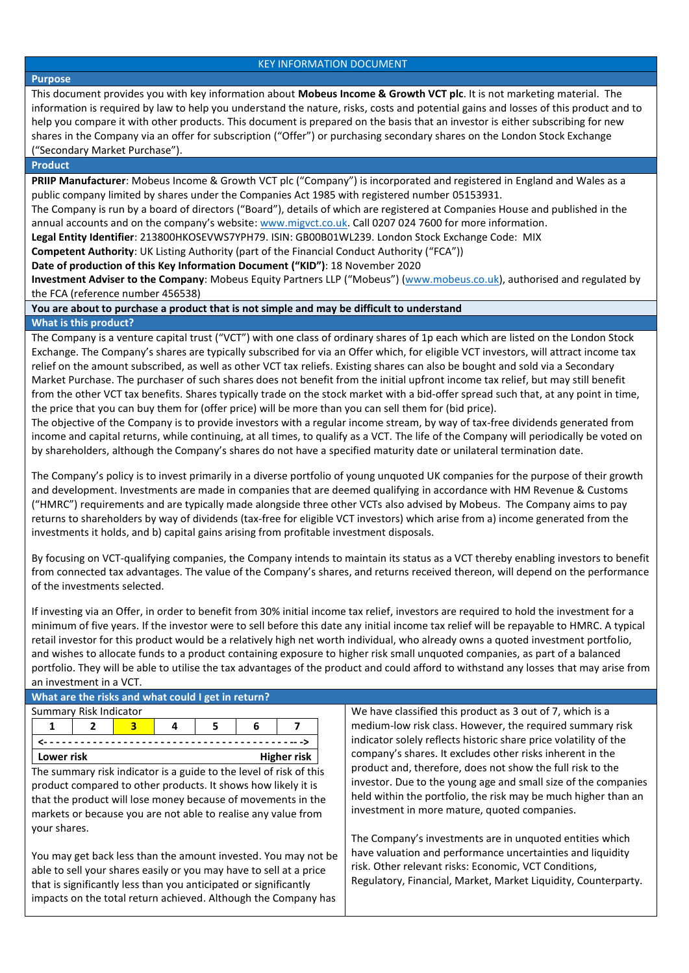#### KEY INFORMATION DOCUMENT

## **Purpose**

This document provides you with key information about **Mobeus Income & Growth VCT plc**. It is not marketing material. The information is required by law to help you understand the nature, risks, costs and potential gains and losses of this product and to help you compare it with other products. This document is prepared on the basis that an investor is either subscribing for new shares in the Company via an offer for subscription ("Offer") or purchasing secondary shares on the London Stock Exchange ("Secondary Market Purchase").

#### **Product**

**PRIIP Manufacturer**: Mobeus Income & Growth VCT plc ("Company") is incorporated and registered in England and Wales as a public company limited by shares under the Companies Act 1985 with registered number 05153931.

The Company is run by a board of directors ("Board"), details of which are registered at Companies House and published in the annual accounts and on the company's website[: www.migvct.co.uk.](http://www.migvct.co.uk/) Call 0207 024 7600 for more information.

**Legal Entity Identifier**: 213800HKOSEVWS7YPH79. ISIN: GB00B01WL239. London Stock Exchange Code: MIX

**Competent Authority**: UK Listing Authority (part of the Financial Conduct Authority ("FCA"))

**Date of production of this Key Information Document ("KID")**: 18 November 2020

**Investment Adviser to the Company**: Mobeus Equity Partners LLP ("Mobeus") [\(www.mobeus.co.uk\)](http://www.mobeus.co.uk/), authorised and regulated by the FCA (reference number 456538)

**You are about to purchase a product that is not simple and may be difficult to understand**

#### **What is this product?**

The Company is a venture capital trust ("VCT") with one class of ordinary shares of 1p each which are listed on the London Stock Exchange. The Company's shares are typically subscribed for via an Offer which, for eligible VCT investors, will attract income tax relief on the amount subscribed, as well as other VCT tax reliefs. Existing shares can also be bought and sold via a Secondary Market Purchase. The purchaser of such shares does not benefit from the initial upfront income tax relief, but may still benefit from the other VCT tax benefits. Shares typically trade on the stock market with a bid-offer spread such that, at any point in time, the price that you can buy them for (offer price) will be more than you can sell them for (bid price).

The objective of the Company is to provide investors with a regular income stream, by way of tax-free dividends generated from income and capital returns, while continuing, at all times, to qualify as a VCT. The life of the Company will periodically be voted on by shareholders, although the Company's shares do not have a specified maturity date or unilateral termination date.

The Company's policy is to invest primarily in a diverse portfolio of young unquoted UK companies for the purpose of their growth and development. Investments are made in companies that are deemed qualifying in accordance with HM Revenue & Customs ("HMRC") requirements and are typically made alongside three other VCTs also advised by Mobeus. The Company aims to pay returns to shareholders by way of dividends (tax-free for eligible VCT investors) which arise from a) income generated from the investments it holds, and b) capital gains arising from profitable investment disposals.

By focusing on VCT-qualifying companies, the Company intends to maintain its status as a VCT thereby enabling investors to benefit from connected tax advantages. The value of the Company's shares, and returns received thereon, will depend on the performance of the investments selected.

If investing via an Offer, in order to benefit from 30% initial income tax relief, investors are required to hold the investment for a minimum of five years. If the investor were to sell before this date any initial income tax relief will be repayable to HMRC. A typical retail investor for this product would be a relatively high net worth individual, who already owns a quoted investment portfolio, and wishes to allocate funds to a product containing exposure to higher risk small unquoted companies, as part of a balanced portfolio. They will be able to utilise the tax advantages of the product and could afford to withstand any losses that may arise from an investment in a VCT.

| What are the risks and what could I get in return?                 |  |   |   |   |   |                                                               |                                                                  |  |  |  |
|--------------------------------------------------------------------|--|---|---|---|---|---------------------------------------------------------------|------------------------------------------------------------------|--|--|--|
| Summary Risk Indicator                                             |  |   |   |   |   |                                                               | We have classified this product as 3 out of 7, which is a        |  |  |  |
|                                                                    |  | 3 | 4 | 5 | 6 |                                                               | medium-low risk class. However, the required summary risk        |  |  |  |
|                                                                    |  |   |   |   |   |                                                               | indicator solely reflects historic share price volatility of the |  |  |  |
| Lower risk<br>Higher risk                                          |  |   |   |   |   |                                                               | company's shares. It excludes other risks inherent in the        |  |  |  |
| The summary risk indicator is a guide to the level of risk of this |  |   |   |   |   |                                                               | product and, therefore, does not show the full risk to the       |  |  |  |
| product compared to other products. It shows how likely it is      |  |   |   |   |   |                                                               | investor. Due to the young age and small size of the companies   |  |  |  |
| that the product will lose money because of movements in the       |  |   |   |   |   |                                                               | held within the portfolio, the risk may be much higher than an   |  |  |  |
|                                                                    |  |   |   |   |   | markets or because you are not able to realise any value from | investment in more mature, quoted companies.                     |  |  |  |
| your shares.                                                       |  |   |   |   |   |                                                               |                                                                  |  |  |  |
|                                                                    |  |   |   |   |   |                                                               | The Company's investments are in unquoted entities which         |  |  |  |
| You may get back less than the amount invested. You may not be     |  |   |   |   |   |                                                               | have valuation and performance uncertainties and liquidity       |  |  |  |
| able to sell your shares easily or you may have to sell at a price |  |   |   |   |   |                                                               | risk. Other relevant risks: Economic, VCT Conditions,            |  |  |  |
| that is significantly less than you anticipated or significantly   |  |   |   |   |   |                                                               | Regulatory, Financial, Market, Market Liquidity, Counterparty.   |  |  |  |
| impacts on the total return achieved. Although the Company has     |  |   |   |   |   |                                                               |                                                                  |  |  |  |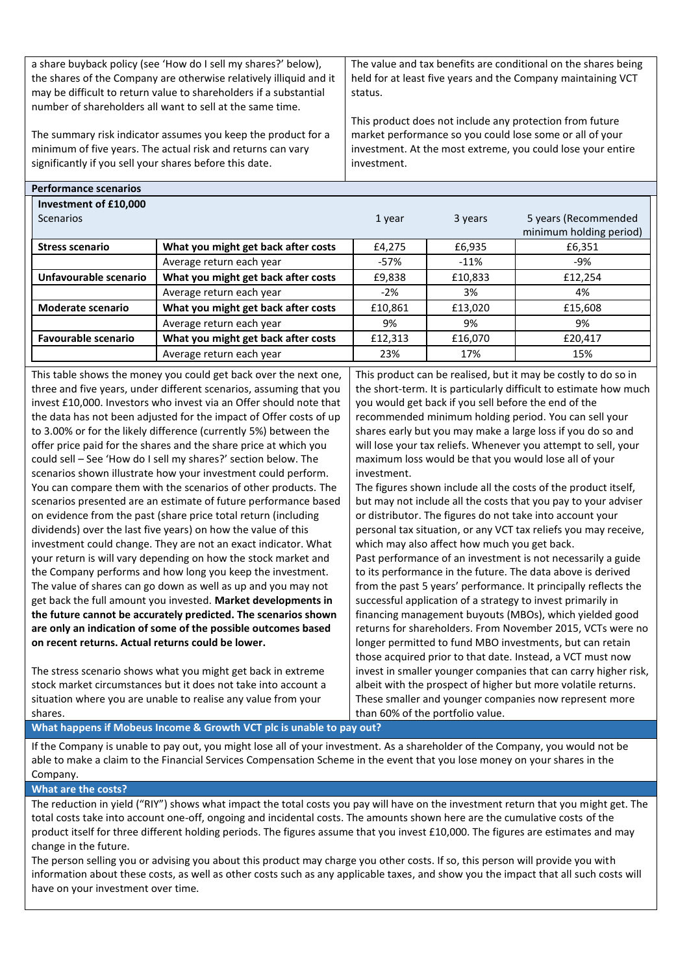| a share buyback policy (see 'How do I sell my shares?' below),     | The value and tax benefits are conditional on the shares being |
|--------------------------------------------------------------------|----------------------------------------------------------------|
| the shares of the Company are otherwise relatively illiquid and it | held for at least five years and the Company maintaining VCT   |
| may be difficult to return value to shareholders if a substantial  | status.                                                        |
| number of shareholders all want to sell at the same time.          |                                                                |
|                                                                    | This product does not include any protection from future       |
| The summary risk indicator assumes you keep the product for a      | market performance so you could lose some or all of your       |
| minimum of five years. The actual risk and returns can vary        | investment. At the most extreme, you could lose your entire    |
| significantly if you sell your shares before this date.            | investment.                                                    |

| CHUITIGHC SCEIT TUS                       |                                     |         |         |                                                 |
|-------------------------------------------|-------------------------------------|---------|---------|-------------------------------------------------|
| Investment of £10,000<br><b>Scenarios</b> |                                     | 1 year  | 3 years | 5 years (Recommended<br>minimum holding period) |
| <b>Stress scenario</b>                    | What you might get back after costs | £4,275  | £6,935  | £6,351                                          |
|                                           | Average return each year            | $-57%$  | $-11%$  | -9%                                             |
| Unfavourable scenario                     | What you might get back after costs | £9,838  | £10,833 | £12,254                                         |
|                                           | Average return each year            | $-2%$   | 3%      | 4%                                              |
| <b>Moderate scenario</b>                  | What you might get back after costs | £10,861 | £13,020 | £15,608                                         |
|                                           | Average return each year            | 9%      | 9%      | 9%                                              |
| <b>Favourable scenario</b>                | What you might get back after costs | £12,313 | £16,070 | £20,417                                         |
|                                           | Average return each year            | 23%     | 17%     | 15%                                             |

This table shows the money you could get back over the next one, three and five years, under different scenarios, assuming that you invest £10,000. Investors who invest via an Offer should note that the data has not been adjusted for the impact of Offer costs of up to 3.00% or for the likely difference (currently 5%) between the offer price paid for the shares and the share price at which you could sell – See 'How do I sell my shares?' section below. The scenarios shown illustrate how your investment could perform. You can compare them with the scenarios of other products. The scenarios presented are an estimate of future performance based on evidence from the past (share price total return (including dividends) over the last five years) on how the value of this investment could change. They are not an exact indicator. What your return is will vary depending on how the stock market and the Company performs and how long you keep the investment. The value of shares can go down as well as up and you may not get back the full amount you invested. **Market developments in the future cannot be accurately predicted. The scenarios shown are only an indication of some of the possible outcomes based on recent returns. Actual returns could be lower.**

The stress scenario shows what you might get back in extreme stock market circumstances but it does not take into account a situation where you are unable to realise any value from your shares.

This product can be realised, but it may be costly to do so in the short-term. It is particularly difficult to estimate how much you would get back if you sell before the end of the recommended minimum holding period. You can sell your shares early but you may make a large loss if you do so and will lose your tax reliefs. Whenever you attempt to sell, your maximum loss would be that you would lose all of your investment.

The figures shown include all the costs of the product itself, but may not include all the costs that you pay to your adviser or distributor. The figures do not take into account your personal tax situation, or any VCT tax reliefs you may receive, which may also affect how much you get back. Past performance of an investment is not necessarily a guide to its performance in the future. The data above is derived from the past 5 years' performance. It principally reflects the successful application of a strategy to invest primarily in financing management buyouts (MBOs), which yielded good returns for shareholders. From November 2015, VCTs were no longer permitted to fund MBO investments, but can retain those acquired prior to that date. Instead, a VCT must now invest in smaller younger companies that can carry higher risk, albeit with the prospect of higher but more volatile returns. These smaller and younger companies now represent more than 60% of the portfolio value.

**What happens if Mobeus Income & Growth VCT plc is unable to pay out?** 

If the Company is unable to pay out, you might lose all of your investment. As a shareholder of the Company, you would not be able to make a claim to the Financial Services Compensation Scheme in the event that you lose money on your shares in the Company.

#### **What are the costs?**

**Performance scenarios**

The reduction in yield ("RIY") shows what impact the total costs you pay will have on the investment return that you might get. The total costs take into account one-off, ongoing and incidental costs. The amounts shown here are the cumulative costs of the product itself for three different holding periods. The figures assume that you invest £10,000. The figures are estimates and may change in the future.

The person selling you or advising you about this product may charge you other costs. If so, this person will provide you with information about these costs, as well as other costs such as any applicable taxes, and show you the impact that all such costs will have on your investment over time.